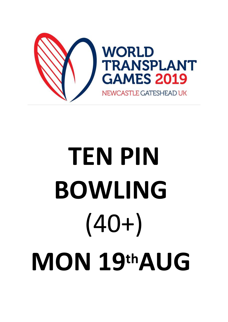

## **TEN PIN BOWLING**  $(40+)$ MON 19thAUG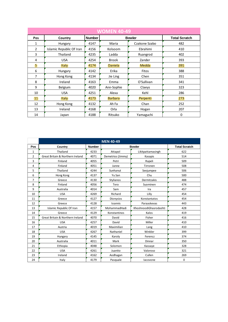| <b>WOMEN 40-49</b> |                          |               |                |               |                      |  |
|--------------------|--------------------------|---------------|----------------|---------------|----------------------|--|
| Pos                | Country                  | <b>Number</b> |                | <b>Bowler</b> | <b>Total Scratch</b> |  |
| 1                  | Hungary                  | 4147          | Maria          | Czakone Szabo | 482                  |  |
| $\overline{2}$     | Islamic Republic Of Iran | 4156          | Kolsoom        | Ebrahimi      | 410                  |  |
| 3                  | Thailand                 | 4235          | Ladda          | Ruangrod      | 402                  |  |
| 4                  | <b>USA</b>               | 4254          | <b>Brook</b>   | Zander        | 393                  |  |
| 5                  | <b>Italy</b>             | 4174          | <b>Daniela</b> | Medda         | 391                  |  |
| 6                  | Hungary                  | 4142          | Erika          | Fitos         | 388                  |  |
| 7                  | Hong Kong                | 4134          | Jie Ling       | Chen          | 351                  |  |
| 8                  | Ireland                  | 4163          | Emma           | O'Sullivan    | 341                  |  |
| 9                  | Belgium                  | 4020          | Ann-Sophie     | Claeys        | 323                  |  |
| 10                 | <b>USA</b>               | 4251          | Alexa          | Kehl          | 286                  |  |
| 11                 | <b>Italy</b>             | 4173          | <b>Barbara</b> | Perpenti      | 273                  |  |
| 12                 | Hong Kong                | 4132          | Ah Fa          | Chan          | 252                  |  |
| 13                 | Ireland                  | 4168          | Orla           | Hogan         | 207                  |  |
| 14                 | Japan                    | 4188          | Ritsuko        | Yamaguchi     | 0                    |  |

|                | <b>MEN 40-49</b>                            |               |                   |                        |     |  |  |
|----------------|---------------------------------------------|---------------|-------------------|------------------------|-----|--|--|
| Pos            | Country                                     | <b>Number</b> | <b>Bowler</b>     | <b>Total Scratch</b>   |     |  |  |
| 1              | Thailand                                    | 4233          | Attapol           | Likitpattamasingh      | 622 |  |  |
| $\overline{2}$ | <b>Great Britain &amp; Northern Ireland</b> | 4071          | Demetrios (Jimmy) | Kasapis                | 514 |  |  |
| 3              | Finland                                     | 4055          | Petri             | Rapeli                 | 509 |  |  |
| 4              | Finland                                     | 4051          | Janne             | Tirronen               | 508 |  |  |
| 5              | Thailand                                    | 4244          | Sunhanut          | Seejumpee              | 506 |  |  |
| 6              | Hong Kong                                   | 4137          | Yu San            | Chu                    | 500 |  |  |
| 7              | Greece                                      | 4130          | Stylianos         | Dermitzakis            | 488 |  |  |
| 8              | Finland                                     | 4056          | Tero              | Suominen               | 474 |  |  |
| 9              | Australia                                   | 4014          | Sam               | Ira                    | 457 |  |  |
| 10             | <b>USA</b>                                  | 4269          | Richard           | Lilly                  | 454 |  |  |
| 11             | Greece                                      | 4127          | Dionysios         | Konstantatos           | 454 |  |  |
| 12             | Greece                                      | 4128          | Ioannis           | Paraaskevas            | 443 |  |  |
| 13             | Islamic Republic Of Iran                    | 4157          | MohammadHadi      | KhoshnoodiGhasrodashti | 428 |  |  |
| 14             | Greece                                      | 4129          | Konstantinos      | Kalos                  | 419 |  |  |
| 15             | <b>Great Britain &amp; Northern Ireland</b> | 4070          | David             | Fisher                 | 416 |  |  |
| 16             | <b>USA</b>                                  | 4257          | David             | Miller                 | 410 |  |  |
| 17             | Austria                                     | 4019          | Maximilian        | Lang                   | 410 |  |  |
| 18             | <b>USA</b>                                  | 4267          | Nathaniel         | Winkler                | 399 |  |  |
| 19             | Hungary                                     | 4145          | Karoly            | Ferencz                | 374 |  |  |
| 20             | Australia                                   | 4011          | Mark              | Dinnar                 | 350 |  |  |
| 21             | Ethiopia                                    | 4048          | Solomon           | Kassaye                | 328 |  |  |
| 22             | <b>USA</b>                                  | 4261          | Juanito           | Valoroso               | 321 |  |  |
| 23             | Ireland                                     | 4162          | Aodhagan          | Cullen                 | 269 |  |  |
| 24             | Italy                                       | 4179          | Pasquale          | lacovone               | 0   |  |  |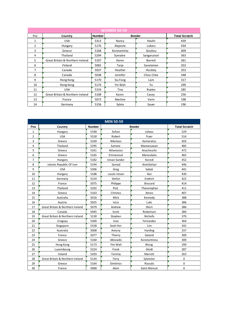| <b>WOMEN 50-59</b> |                                  |               |              |                |                      |  |  |
|--------------------|----------------------------------|---------------|--------------|----------------|----------------------|--|--|
| Pos                | Country                          | <b>Number</b> |              | <b>Bowler</b>  | <b>Total Scratch</b> |  |  |
| $\mathbf{1}$       | <b>USA</b>                       | 5313          | Nancy        | Havlin         | 439                  |  |  |
| 2                  | Hungary                          | 5176          | Alajosne     | Lukacs         | 434                  |  |  |
| 3                  | Greece                           | 5168          | Konstantinia | Gouliou        | 409                  |  |  |
| 4                  | Thailand                         | 5294          | Sumalee      | Sangarunsiri   | 363                  |  |  |
| 5.                 | Great Britain & Northern Ireland | 5107          | Karen        | <b>Barrett</b> | 361                  |  |  |
| 6                  | Finland                          | 5065          | Tarja        | Savolainen     | 353                  |  |  |
| 7                  | Canada                           | 5037          | Heather      | Hockley        | 353                  |  |  |
| 8                  | Canada                           | 5038          | Jennifer     | Choo Chee      | 348                  |  |  |
| 9                  | Hong Kong                        | 5170          | Siu Fong     | Lam            | 317                  |  |  |
| 10                 | Hong Kong                        | 5174          | Yin Wah      | Yu             | 299                  |  |  |
| 11                 | <b>USA</b>                       | 5319          | Tina         | Rueles         | 285                  |  |  |
| 12                 | Great Britain & Northern Ireland | 5108          | Karen        | Casey          | 256                  |  |  |
| 13                 | France                           | 5072          | Martine      | Varin          | 198                  |  |  |
| 14                 | Germany                          | 5156          | Sylvia       | Sauer          | 196                  |  |  |

| <b>MEN 50-59</b> |                                  |               |                      |                |                      |  |
|------------------|----------------------------------|---------------|----------------------|----------------|----------------------|--|
| Pos              | Country                          | <b>Number</b> |                      | <b>Bowler</b>  | <b>Total Scratch</b> |  |
| 1                | Hungary                          | 5190          | Zoltan               | Juhasz         | 529                  |  |
| 2                | <b>USA</b>                       | 5318          | Robert               | Fryer          | 514                  |  |
| 3                | Greece                           | 5169          | Nikolaos             | Kamaratos      | 503                  |  |
| 4                | Thailand                         | 5295          | Sumate               | Maneesuwan     | 485                  |  |
| 5                | Greece                           | 5161          | Athanasios           | Anachourlis    | 472                  |  |
| 6                | Greece                           | 5165          | Emmanouil            | Manoulakis     | 465                  |  |
| 7                | Hungary                          | 5182          | <b>Istvan Sandor</b> | Korodi         | 452                  |  |
| 8                | Islamic Republic Of Iran         | 5194          | Samad                | AminSafaei     | 446                  |  |
| 9                | <b>USA</b>                       | 5306          | Greg                 | Sabak          | 441                  |  |
| 10               | Hungary                          | 5188          | Laszlo Istvan        | Iker           | 430                  |  |
| 11               | Germany                          | 5154          | Stefan               | Endrich        | 422                  |  |
| 12               | France                           | 5075          | Philippe             | <b>Brocard</b> | 414                  |  |
| 13               | Thailand                         | 5292          | Pisit                | Thanomphan     | 411                  |  |
| 14               | Greece                           | 5163          | Christos             | Xenos          | 407                  |  |
| 15               | Australia                        | 5016          | Mick                 | Kennedy        | 388                  |  |
| 16               | Austria                          | 5025          | Ivica                | Lulic          | 386                  |  |
| 17               | Great Britain & Northern Ireland | 5079          | Andrew               | Short          | 386                  |  |
| 18               | Canada                           | 5045          | Scott                | Robertson      | 384                  |  |
| 19               | Great Britain & Northern Ireland | 5130          | Stephen              | Nicholls       | 370                  |  |
| 20               | Uruguay                          | 5300          | Jose                 | Fernandez      | 364                  |  |
| 21               | Singapore                        | 5328          | Seah Hor             | Lim            | 342                  |  |
| 22               | Australia                        | 5008          | Antony               | Harding        | 337                  |  |
| 23               | France                           | 5077          | Thierry              | Galand         | 309                  |  |
| 24               | Greece                           | 5160          | Alkiviadis           | Konstantinou   | 300                  |  |
| 25               | Hong Kong                        | 5173          | Yim Wah              | Wong           | 299                  |  |
| 26               | Luxembourg                       | 5224          | Frank                | Glodt          | 287                  |  |
| 27               | Ireland                          | 5203          | Tommy                | Marrett        | 263                  |  |
| 28               | Great Britain & Northern Ireland | 5134          | Terry                | Sylvester      | $\mathbf 0$          |  |
| 29               | Greece                           | 5164          | <b>Dimitrios</b>     | Rizoulis       | 0                    |  |
| 30               | France                           | 5068          | Alain                | Saint-Blancat  | 0                    |  |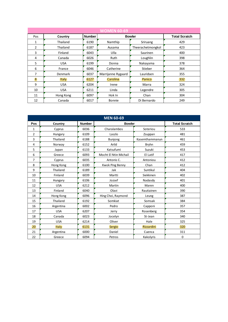| <b>WOMEN 60-69</b> |              |               |                    |                   |                      |  |
|--------------------|--------------|---------------|--------------------|-------------------|----------------------|--|
| Pos                | Country      | <b>Number</b> |                    | <b>Bowler</b>     | <b>Total Scratch</b> |  |
| $\mathbf{1}$       | Thailand     | 6190          | Namthip            | Sriruang          | 429                  |  |
| $\overline{2}$     | Thailand     | 6187          | Ausama             | Theerachetmongkol | 423                  |  |
| 3                  | Finland      | 6043          | Ulla               | Saarinen          | 400                  |  |
| 4                  | Canada       | 6026          | Ruth               | Loughlin          | 398                  |  |
| 5                  | <b>USA</b>   | 6199          | Donna              | Nakayama          | 378                  |  |
| 6                  | France       | 6046          | Catherine          | Stieber           | 364                  |  |
| 7                  | Denmark      | 6037          | Marrijanne Rygaard | Lauridsen         | 355                  |  |
| 8                  | <b>Italy</b> | 6127          | Carolina           | Panico            | 332                  |  |
| 9                  | <b>USA</b>   | 6204          | Irene              | Marra             | 324                  |  |
| 10                 | <b>USA</b>   | 6211          | Linda              | Legendre          | 305                  |  |
| 11                 | Hong Kong    | 6097          | Hok In             | Chan              | 304                  |  |
| 12                 | Canada       | 6017          | Bonnie             | Di Bernardo       | 249                  |  |

| <b>MEN 60-69</b> |            |               |                       |                   |                      |  |  |
|------------------|------------|---------------|-----------------------|-------------------|----------------------|--|--|
| Pos              | Country    | <b>Number</b> | <b>Bowler</b>         |                   | <b>Total Scratch</b> |  |  |
| 1                | Cyprus     | 6036          | Charalambos           | Soteriou          | 533                  |  |  |
| 2                | Hungary    | 6109          | Laszlo                | Zsuppan           | 481                  |  |  |
| 3                | Thailand   | 6188          | <b>Bunjong</b>        | Kasemthammanun    | 461                  |  |  |
| 4                | Norway     | 6152          | Arild                 | <b>Bryhn</b>      | 459                  |  |  |
| 5                | Japan      | 6133          | Katsufumi             | Suzuki            | 453                  |  |  |
| 6                | Greece     | 6093          | Mocht El Ntin Michail | El Latif          | 417                  |  |  |
| 7                | Cyprus     | 6035          | Antonis C.            | Antoniou          | 412                  |  |  |
| 8                | Hong Kong  | 6100          | Kwok Ping Benny       | Chan              | 412                  |  |  |
| 9                | Thailand   | 6189          | Jak                   | Suntikul          | 404                  |  |  |
| 10               | Finland    | 6039          | Martti                | Siekkinen         | 402                  |  |  |
| 11               | Hungary    | 6106          | Jozsef                | Nadasdy           | 401                  |  |  |
| 12               | <b>USA</b> | 6212          | Martin                | Maren             | 400                  |  |  |
| 13               | Finland    | 6040          | Olavi                 | Rautiainen        | 390                  |  |  |
| 14               | Hong Kong  | 6096          | Hing Choi, Raymond    | Leung             | 387                  |  |  |
| 15               | Thailand   | 6192          | Somkiat               | Somsak            | 384                  |  |  |
| 16               | Argentina  | 6002          | Pedro                 | Capponi           | 357                  |  |  |
| 17               | <b>USA</b> | 6207          | Jerry                 | Rosenberg         | 354                  |  |  |
| 18               | Canada     | 6023          | Jocelyn               | St-Jean           | 340                  |  |  |
| 19               | <b>USA</b> | 6214          | Oliver                | Hale              | 325                  |  |  |
| 20               | Italy      | 6131          | Sergio                | <b>Rizzardini</b> | 320                  |  |  |
| 21               | Argentina  | 6000          | Daniel                | Cuenca            | 311                  |  |  |
| 22               | Greece     | 6094          | Petros                | Kakolyris         | 0                    |  |  |